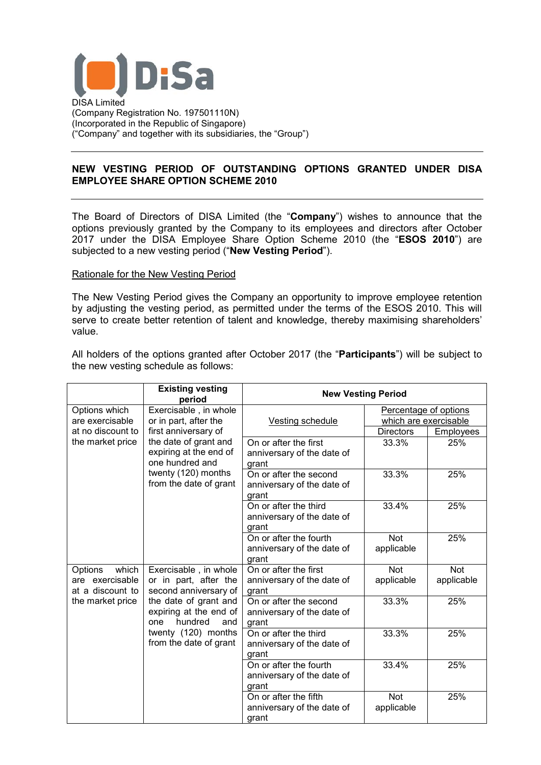

# **NEW VESTING PERIOD OF OUTSTANDING OPTIONS GRANTED UNDER DISA EMPLOYEE SHARE OPTION SCHEME 2010**

The Board of Directors of DISA Limited (the "**Company**") wishes to announce that the options previously granted by the Company to its employees and directors after October 2017 under the DISA Employee Share Option Scheme 2010 (the "**ESOS 2010**") are subjected to a new vesting period ("**New Vesting Period**").

#### Rationale for the New Vesting Period

The New Vesting Period gives the Company an opportunity to improve employee retention by adjusting the vesting period, as permitted under the terms of the ESOS 2010. This will serve to create better retention of talent and knowledge, thereby maximising shareholders' value.

All holders of the options granted after October 2017 (the "**Participants**") will be subject to the new vesting schedule as follows:

|                                                                             | <b>Existing vesting</b><br>period                                                                                                                                                                    | <b>New Vesting Period</b>                                     |                          |                          |
|-----------------------------------------------------------------------------|------------------------------------------------------------------------------------------------------------------------------------------------------------------------------------------------------|---------------------------------------------------------------|--------------------------|--------------------------|
| Options which                                                               | Exercisable, in whole<br>or in part, after the<br>first anniversary of<br>the date of grant and<br>expiring at the end of<br>one hundred and<br>twenty (120) months<br>from the date of grant        | Vesting schedule                                              | Percentage of options    |                          |
| are exercisable                                                             |                                                                                                                                                                                                      |                                                               | which are exercisable    |                          |
| at no discount to<br>the market price                                       |                                                                                                                                                                                                      |                                                               | <b>Directors</b>         | Employees                |
|                                                                             |                                                                                                                                                                                                      | On or after the first<br>anniversary of the date of<br>grant  | 33.3%                    | 25%                      |
|                                                                             |                                                                                                                                                                                                      | On or after the second<br>anniversary of the date of<br>grant | 33.3%                    | 25%                      |
|                                                                             |                                                                                                                                                                                                      | On or after the third<br>anniversary of the date of<br>grant  | 33.4%                    | 25%                      |
|                                                                             |                                                                                                                                                                                                      | On or after the fourth<br>anniversary of the date of<br>grant | <b>Not</b><br>applicable | 25%                      |
| which<br>Options<br>are exercisable<br>at a discount to<br>the market price | Exercisable, in whole<br>or in part, after the<br>second anniversary of<br>the date of grant and<br>expiring at the end of<br>hundred<br>and<br>one<br>twenty (120) months<br>from the date of grant | On or after the first<br>anniversary of the date of<br>grant  | <b>Not</b><br>applicable | <b>Not</b><br>applicable |
|                                                                             |                                                                                                                                                                                                      | On or after the second<br>anniversary of the date of<br>grant | 33.3%                    | 25%                      |
|                                                                             |                                                                                                                                                                                                      | On or after the third<br>anniversary of the date of<br>grant  | 33.3%                    | 25%                      |
|                                                                             |                                                                                                                                                                                                      | On or after the fourth<br>anniversary of the date of<br>grant | 33.4%                    | 25%                      |
|                                                                             |                                                                                                                                                                                                      | On or after the fifth<br>anniversary of the date of<br>grant  | Not<br>applicable        | 25%                      |